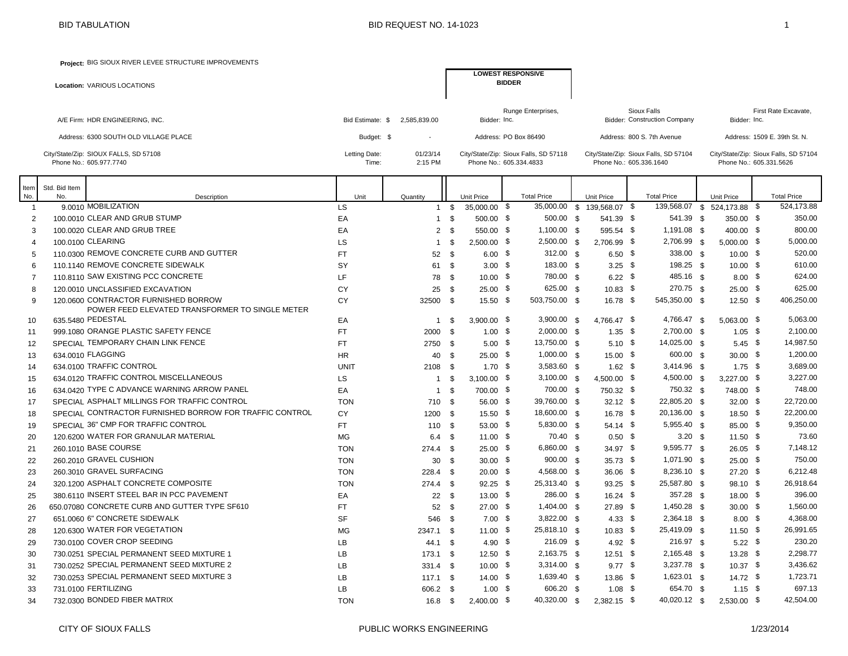**Project:** BIG SIOUX RIVER LEVEE STRUCTURE IMPROVEMENTS

| <b>Location: VARIOUS LOCATIONS</b>                               |                        |                     | <b>LOWEST RESPONSIVE</b><br><b>BIDDER</b>                        |                                                                  |                                                                  |
|------------------------------------------------------------------|------------------------|---------------------|------------------------------------------------------------------|------------------------------------------------------------------|------------------------------------------------------------------|
| A/E Firm: HDR ENGINEERING, INC.                                  | Bid Estimate: \$       | 2.585.839.00        | Runge Enterprises,<br>Bidder: Inc.                               | Sioux Falls<br><b>Bidder: Construction Company</b>               | First Rate Excavate.<br>Bidder: Inc.                             |
| Address: 6300 SOUTH OLD VILLAGE PLACE                            | Budget: \$             |                     | Address: PO Box 86490                                            | Address: 800 S. 7th Avenue                                       | Address: 1509 E. 39th St. N.                                     |
| City/State/Zip: SIOUX FALLS, SD 57108<br>Phone No.: 605.977.7740 | Letting Date:<br>Time: | 01/23/14<br>2:15 PM | City/State/Zip: Sioux Falls, SD 57118<br>Phone No.: 605.334.4833 | City/State/Zip: Sioux Falls, SD 57104<br>Phone No.: 605.336.1640 | City/State/Zip: Sioux Falls, SD 57104<br>Phone No.: 605.331.5626 |

| Item           | Std. Bid Item |                                                                      |                 |                    |      |                         |                                |                        |                            |                             |                    |
|----------------|---------------|----------------------------------------------------------------------|-----------------|--------------------|------|-------------------------|--------------------------------|------------------------|----------------------------|-----------------------------|--------------------|
| No.            | No.           | Description                                                          | Unit            | Quantity           |      | <b>Unit Price</b>       | <b>Total Price</b>             | Unit Price             | <b>Total Price</b>         | Unit Price                  | <b>Total Price</b> |
| -1             |               | 90010 MOBILIZATION                                                   | LS              | 1                  | -\$  | 35,000.00 \$            | 35,000.00 \$                   | 139.568.07 \$          |                            | 139,568.07 \$ 524.173.88 \$ | 524.173.88         |
| $\overline{2}$ |               | 100,0010 CLEAR AND GRUB STUMP                                        | EA              | $\mathbf{1}$       | \$   | 500.00 \$               | $500.00$ \$                    | 541.39 \$              | 541.39 \$                  | 350.00 \$                   | 350.00             |
| 3              |               | 100,0020 CLEAR AND GRUB TREE                                         | EA              | 2                  | -\$  | 550.00 \$               | $1,100.00$ \$                  | 595.54 \$              | 1,191.08 \$                | 400.00 \$                   | 800.00             |
| 4              |               | 100,0100 CLEARING                                                    | LS              | 1                  | -S   | 2.500.00 \$             | $2,500.00$ \$                  | 2.706.99 \$            | 2,706.99 \$                | 5.000.00 \$                 | 5,000.00           |
| 5              |               | 110,0300 REMOVE CONCRETE CURB AND GUTTER                             | <b>FT</b>       | 52                 | \$   | $6.00\quad$ \$          | 312.00 \$                      | $6.50\quad$            | 338.00 \$                  | $10.00$ \$                  | 520.00             |
| 6              |               | 110.1140 REMOVE CONCRETE SIDEWALK                                    | SY              | 61                 | - \$ | $3.00\ 5$               | 183.00 \$                      | $3.25$ \$              | 198.25 \$                  | $10.00$ \$                  | 610.00             |
|                |               | 110,8110 SAW EXISTING PCC CONCRETE                                   | LF              | 78                 | - \$ | $10.00\ 5$              | 780.00 \$                      | $6.22$ \$              | 485.16 \$                  | $8.00$ \$                   | 624.00             |
| 8              |               | 120.0010 UNCLASSIFIED EXCAVATION                                     | CY              | 25                 | \$   | $25.00$ \$              | 625.00 \$                      | $10.83$ \$             | 270.75 \$                  | $25.00$ \$                  | 625.00             |
| 9              |               | 120,0600 CONTRACTOR FURNISHED BORROW                                 | CY              | 32500              | - \$ | $15.50$ \$              | 503,750.00 \$                  | $16.78$ \$             | 545,350.00 \$              | $12.50$ \$                  | 406,250.00         |
|                |               | POWER FEED ELEVATED TRANSFORMER TO SINGLE METER<br>635,5480 PEDESTAL |                 |                    |      |                         |                                |                        |                            |                             | 5,063.00           |
| 10             |               | 999 1080 ORANGE PLASTIC SAFETY FENCE                                 | EA<br><b>FT</b> | -1                 | - \$ | $3,900.00$ \$           | $3,900.00$ \$<br>$2,000.00$ \$ | 4,766.47 \$            | 4,766.47 \$<br>2,700.00 \$ | $5,063.00$ \$<br>$1.05$ \$  | 2,100.00           |
| 11             |               | SPECIAL TEMPORARY CHAIN LINK FENCE                                   | <b>FT</b>       | 2000 \$<br>2750 \$ |      | $1.00\ 5$               | 13,750.00 \$                   | $1.35$ \$<br>$5.10$ \$ | 14,025.00 \$               | $5.45$ \$                   | 14,987.50          |
| 12             |               | 634,0010 FLAGGING                                                    | <b>HR</b>       |                    | -\$  | $5.00$ \$<br>$25.00$ \$ | $1,000.00$ \$                  | $15.00\quad$ \$        | 600.00 \$                  | $30.00\quad$ \$             | 1,200.00           |
| 13             |               | 634 0100 TRAFFIC CONTROL                                             | <b>UNIT</b>     | 40<br>2108 \$      |      | $1.70$ \$               | $3,583.60$ \$                  | $1.62$ \$              | $3,414.96$ \$              | $1.75$ \$                   | 3,689.00           |
| 14             |               | 634.0120 TRAFFIC CONTROL MISCELLANEOUS                               | LS.             |                    | \$   | $3,100.00$ \$           | $3,100.00$ \$                  | 4,500.00 \$            | 4,500.00 \$                | $3,227.00$ \$               | 3,227.00           |
| 15             |               | 634,0420 TYPE C ADVANCE WARNING ARROW PANEL                          | EA              | 1                  | \$   | 700.00 \$               | 700.00 \$                      | 750.32 \$              | 750.32 \$                  | 748.00 \$                   | 748.00             |
| 16<br>17       |               | SPECIAL ASPHALT MILLINGS FOR TRAFFIC CONTROL                         | <b>TON</b>      | 1<br>710 \$        |      | 56.00 \$                | 39,760.00 \$                   | $32.12$ \$             | 22,805.20 \$               | $32.00$ \$                  | 22,720.00          |
| 18             |               | SPECIAL CONTRACTOR FURNISHED BORROW FOR TRAFFIC CONTROL              | CY              | 1200 \$            |      | 15.50 \$                | 18,600.00 \$                   | 16.78 \$               | 20,136.00 \$               | 18.50 \$                    | 22,200.00          |
| 19             |               | SPECIAL 36" CMP FOR TRAFFIC CONTROL                                  | <b>FT</b>       | 110                | - \$ | 53.00 \$                | 5,830.00 \$                    | $54.14$ \$             | 5,955.40 \$                | 85.00 \$                    | 9,350.00           |
| 20             |               | 120,6200 WATER FOR GRANULAR MATERIAL                                 | MG              | 6.4 <sup>5</sup>   |      | $11.00$ \$              | 70.40 \$                       | $0.50\quad$ \$         | 3.20 <sub>5</sub>          | $11.50$ \$                  | 73.60              |
| 21             |               | 260.1010 BASE COURSE                                                 | <b>TON</b>      | $274.4$ \$         |      | $25.00\quad$ \$         | 6,860.00 \$                    | $34.97$ \$             | 9,595.77 \$                | $26.05$ \$                  | 7,148.12           |
| 22             |               | 260,2010 GRAVEL CUSHION                                              | <b>TON</b>      | 30                 | -\$  | $30.00\quad$ \$         | $900.00$ \$                    | $35.73$ \$             | 1,071.90 \$                | $25.00\quad$ \$             | 750.00             |
| 23             |               | 260 3010 GRAVEL SURFACING                                            | <b>TON</b>      | $228.4$ \$         |      | $20.00\quad$ \$         | 4,568.00 \$                    | $36.06$ \$             | $8,236.10$ \$              | $27.20$ \$                  | 6,212.48           |
| 24             |               | 320.1200 ASPHALT CONCRETE COMPOSITE                                  | <b>TON</b>      | 274.4 \$           |      | $92.25$ \$              | 25,313.40 \$                   | $93.25$ \$             | 25,587.80 \$               | $98.10\quad$                | 26,918.64          |
| 25             |               | 380.6110 INSERT STEEL BAR IN PCC PAVEMENT                            | EA              | 22                 | \$   | $13.00$ \$              | 286.00 \$                      | $16.24$ \$             | 357.28 \$                  | 18.00 \$                    | 396.00             |
| 26             |               | 650,07080 CONCRETE CURB AND GUTTER TYPE SF610                        | <b>FT</b>       | 52                 | -S   | $27.00$ \$              | 1,404.00 \$                    | 27.89 \$               | $1,450.28$ \$              | $30.00\quad$ \$             | 1,560.00           |
| 27             |               | 651.0060 6" CONCRETE SIDEWALK                                        | <b>SF</b>       | 546                | -\$  | $7.00\quad$ \$          | 3,822.00 \$                    | $4.33\quad$            | 2,364.18 \$                | $8.00$ \$                   | 4,368.00           |
| 28             |               | 120,6300 WATER FOR VEGETATION                                        | MG              | 2347.1 \$          |      | $11.00 \quad$ \$        | 25,818.10 \$                   | $10.83$ \$             | 25,419.09 \$               | $11.50$ \$                  | 26,991.65          |
| 29             |               | 730,0100 COVER CROP SEEDING                                          | LB              | 44.1               | - \$ | 4.90 \$                 | 216.09 \$                      | 4.92 \$                | 216.97 \$                  | $5.22$ \$                   | 230.20             |
| 30             |               | 730.0251 SPECIAL PERMANENT SEED MIXTURE 1                            | LB              | 173.1 \$           |      | $12.50$ \$              | $2,163.75$ \$                  | $12.51$ \$             | 2,165.48 \$                | $13.28$ \$                  | 2,298.77           |
| 31             |               | 730 0252 SPECIAL PERMANENT SEED MIXTURE 2                            | LB              | 331.4 \$           |      | $10.00\ 5$              | $3,314.00$ \$                  | $9.77$ \$              | $3,237.78$ \$              | $10.37$ \$                  | 3,436.62           |
| 32             |               | 730.0253 SPECIAL PERMANENT SEED MIXTURE 3                            | LB              | $117.1$ \$         |      | $14.00$ \$              | 1,639.40 \$                    | $13.86$ \$             | $1,623.01$ \$              | 14.72 \$                    | 1,723.71           |
| 33             |               | 731.0100 FERTILIZING                                                 | LB              | 606.2              | - \$ | $1.00$ \$               | 606.20 \$                      | $1.08 \quad $$         | 654.70 \$                  | $1.15$ \$                   | 697.13             |
| 34             |               | 732.0300 BONDED FIBER MATRIX                                         | <b>TON</b>      | 16.8               | -\$  | 2,400.00 \$             | 40,320.00 \$                   | $2,382.15$ \$          | 40,020.12 \$               | 2,530.00 \$                 | 42.504.00          |